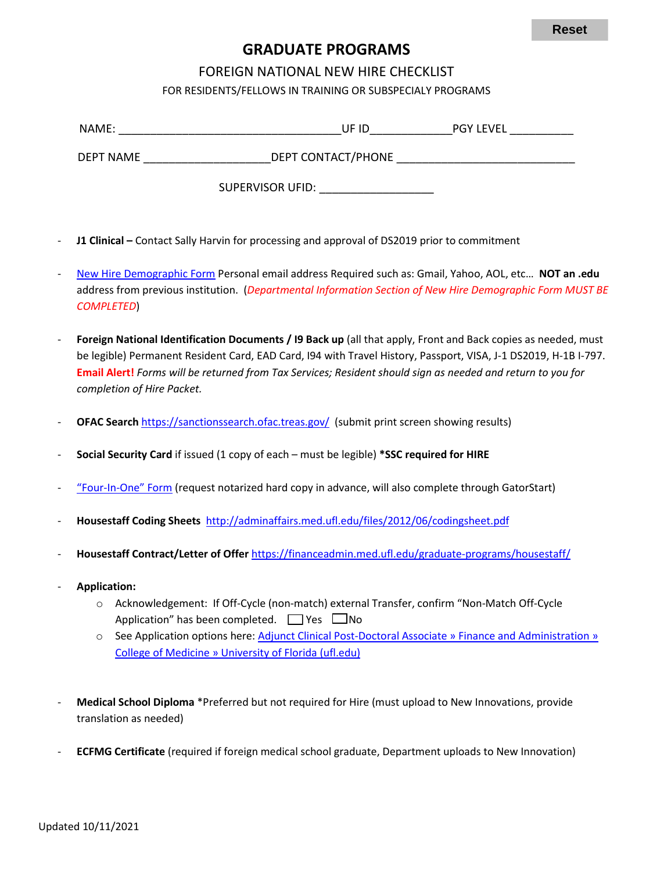# **GRADUATE PROGRAMS**

## FOREIGN NATIONAL NEW HIRE CHECKLIST

FOR RESIDENTS/FELLOWS IN TRAINING OR SUBSPECIALY PROGRAMS

| NAME:            | UF ID                   | <b>PGY LEVEL</b> |
|------------------|-------------------------|------------------|
| <b>DEPT NAME</b> | DEPT CONTACT/PHONE      |                  |
|                  | <b>SUPERVISOR UFID:</b> |                  |

- **J1 Clinical** Contact Sally Harvin for processing and approval of DS2019 prior to commitment
- [New Hire Demographic Form](https://hr.ufl.edu/wp-content/uploads/2018/04/demographic_form.pdf) Personal email address Required such as: Gmail, Yahoo, AOL, etc… **NOT an .edu** address from previous institution. (*Departmental Information Section of New Hire Demographic Form MUST BE COMPLETED*)
- **Foreign National Identification Documents / I9 Back up** (all that apply, Front and Back copies as needed, must be legible) Permanent Resident Card, EAD Card, I94 with Travel History, Passport, VISA, J-1 DS2019, H-1B I-797. **Email Alert!** *Forms will be returned from Tax Services; Resident should sign as needed and return to you for completion of Hire Packet.*
- **OFAC Search** <https://sanctionssearch.ofac.treas.gov/>(submit print screen showing results)
- **Social Security Card** if issued (1 copy of each must be legible) **\*SSC required for HIRE**
- ["Four-In-One" Form](https://hr.ufl.edu/wp-content/uploads/2018/04/fourinone.pdf) (request notarized hard copy in advance, will also complete through GatorStart)
- **Housestaff Coding Sheets** <http://adminaffairs.med.ufl.edu/files/2012/06/codingsheet.pdf>
- **Housestaff Contract/Letter of Offer** <https://financeadmin.med.ufl.edu/graduate-programs/housestaff/>
- **Application:**
	- o Acknowledgement: If Off-Cycle (non-match) external Transfer, confirm "Non-Match Off-Cycle Application" has been completed.  $\Box$  Yes  $\Box$ No
	- o See Application options here: [Adjunct Clinical Post-Doctoral Associate » Finance and Administration »](https://financeadmin.med.ufl.edu/graduate-programs/academic-ops-faculty/) [College of Medicine » University of Florida \(ufl.edu\)](https://financeadmin.med.ufl.edu/graduate-programs/academic-ops-faculty/)
- **Medical School Diploma** \*Preferred but not required for Hire (must upload to New Innovations, provide translation as needed)
- **ECFMG Certificate** (required if foreign medical school graduate, Department uploads to New Innovation)